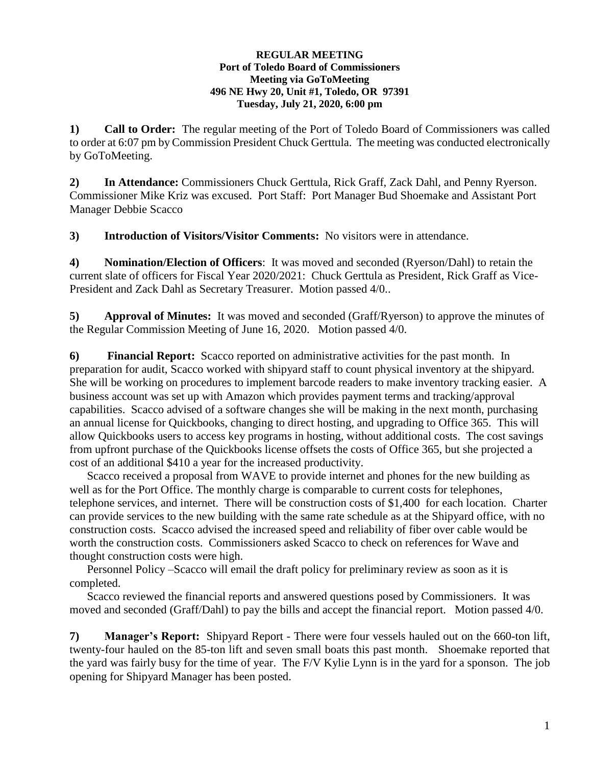## **REGULAR MEETING Port of Toledo Board of Commissioners Meeting via GoToMeeting 496 NE Hwy 20, Unit #1, Toledo, OR 97391 Tuesday, July 21, 2020, 6:00 pm**

**1) Call to Order:** The regular meeting of the Port of Toledo Board of Commissioners was called to order at 6:07 pm by Commission President Chuck Gerttula. The meeting was conducted electronically by GoToMeeting.

**2) In Attendance:** Commissioners Chuck Gerttula, Rick Graff, Zack Dahl, and Penny Ryerson. Commissioner Mike Kriz was excused. Port Staff: Port Manager Bud Shoemake and Assistant Port Manager Debbie Scacco

**3) Introduction of Visitors/Visitor Comments:** No visitors were in attendance.

**4) Nomination/Election of Officers**: It was moved and seconded (Ryerson/Dahl) to retain the current slate of officers for Fiscal Year 2020/2021: Chuck Gerttula as President, Rick Graff as Vice-President and Zack Dahl as Secretary Treasurer. Motion passed 4/0..

**5) Approval of Minutes:** It was moved and seconded (Graff/Ryerson) to approve the minutes of the Regular Commission Meeting of June 16, 2020. Motion passed 4/0.

**6) Financial Report:** Scacco reported on administrative activities for the past month. In preparation for audit, Scacco worked with shipyard staff to count physical inventory at the shipyard. She will be working on procedures to implement barcode readers to make inventory tracking easier. A business account was set up with Amazon which provides payment terms and tracking/approval capabilities. Scacco advised of a software changes she will be making in the next month, purchasing an annual license for Quickbooks, changing to direct hosting, and upgrading to Office 365. This will allow Quickbooks users to access key programs in hosting, without additional costs. The cost savings from upfront purchase of the Quickbooks license offsets the costs of Office 365, but she projected a cost of an additional \$410 a year for the increased productivity.

Scacco received a proposal from WAVE to provide internet and phones for the new building as well as for the Port Office. The monthly charge is comparable to current costs for telephones, telephone services, and internet. There will be construction costs of \$1,400 for each location. Charter can provide services to the new building with the same rate schedule as at the Shipyard office, with no construction costs. Scacco advised the increased speed and reliability of fiber over cable would be worth the construction costs. Commissioners asked Scacco to check on references for Wave and thought construction costs were high.

Personnel Policy –Scacco will email the draft policy for preliminary review as soon as it is completed.

Scacco reviewed the financial reports and answered questions posed by Commissioners. It was moved and seconded (Graff/Dahl) to pay the bills and accept the financial report. Motion passed 4/0.

**7) Manager's Report:** Shipyard Report - There were four vessels hauled out on the 660-ton lift, twenty-four hauled on the 85-ton lift and seven small boats this past month. Shoemake reported that the yard was fairly busy for the time of year. The F/V Kylie Lynn is in the yard for a sponson. The job opening for Shipyard Manager has been posted.